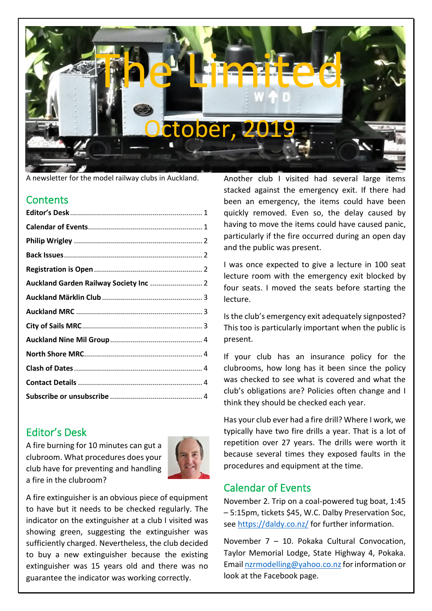

A newsletter for the model railway clubs in Auckland.

#### **Contents**

# <span id="page-0-0"></span>Editor's Desk

A fire burning for 10 minutes can gut a clubroom. What procedures does your club have for preventing and handling a fire in the clubroom?



A fire extinguisher is an obvious piece of equipment to have but it needs to be checked regularly. The indicator on the extinguisher at a club I visited was showing green, suggesting the extinguisher was sufficiently charged. Nevertheless, the club decided to buy a new extinguisher because the existing extinguisher was 15 years old and there was no guarantee the indicator was working correctly.

Another club I visited had several large items stacked against the emergency exit. If there had been an emergency, the items could have been quickly removed. Even so, the delay caused by having to move the items could have caused panic, particularly if the fire occurred during an open day and the public was present.

I was once expected to give a lecture in 100 seat lecture room with the emergency exit blocked by four seats. I moved the seats before starting the lecture.

Is the club's emergency exit adequately signposted? This too is particularly important when the public is present.

If your club has an insurance policy for the clubrooms, how long has it been since the policy was checked to see what is covered and what the club's obligations are? Policies often change and I think they should be checked each year.

Has your club ever had a fire drill? Where I work, we typically have two fire drills a year. That is a lot of repetition over 27 years. The drills were worth it because several times they exposed faults in the procedures and equipment at the time.

### <span id="page-0-1"></span>Calendar of Events

November 2. Trip on a coal-powered tug boat, 1:45 – 5:15pm, tickets \$45, W.C. Dalby Preservation Soc, see<https://daldy.co.nz/> for further information.

November 7 – 10. Pokaka Cultural Convocation, Taylor Memorial Lodge, State Highway 4, Pokaka. Email nzrmodelling@yahoo.co.nz for information or look at the Facebook page.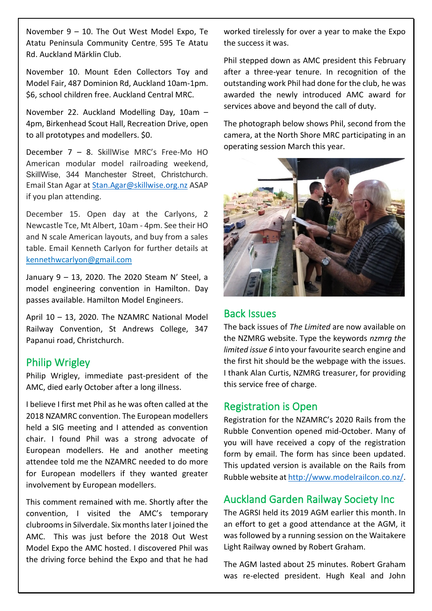November 9 – 10. The Out West Model Expo, [Te](https://www.eventfinda.co.nz/venue/te-atatu-peninsula-community-centre-te-atatu-peninsula)  [Atatu Peninsula Community Centre](https://www.eventfinda.co.nz/venue/te-atatu-peninsula-community-centre-te-atatu-peninsula), 595 Te Atatu Rd. Auckland Märklin Club.

November 10. Mount Eden Collectors Toy and Model Fair, 487 Dominion Rd, Auckland 10am-1pm. \$6, school children free. Auckland Central MRC.

November 22. Auckland Modelling Day, 10am – 4pm, Birkenhead Scout Hall, Recreation Drive, open to all prototypes and modellers. \$0.

December 7 – 8. SkillWise MRC's Free-Mo HO American modular model railroading weekend, SkillWise, 344 Manchester Street, Christchurch. Email Stan Agar at [Stan.Agar@skillwise.org.nz](mailto:Stan.Agar@skillwise.org.nz) ASAP if you plan attending.

December 15. Open day at the Carlyons, 2 Newcastle Tce, Mt Albert, 10am - 4pm. See their HO and N scale American layouts, and buy from a sales table. Email Kenneth Carlyon for further details at kennethwcarlyon@gmail.com

January 9 – 13, 2020. The 2020 Steam N' Steel, a model engineering convention in Hamilton. Day passes available. Hamilton Model Engineers.

April 10 – 13, 2020. The NZAMRC National Model Railway Convention, St Andrews College, 347 Papanui road, Christchurch.

#### <span id="page-1-0"></span>Philip Wrigley

Philip Wrigley, immediate past-president of the AMC, died early October after a long illness.

I believe I first met Phil as he was often called at the 2018 NZAMRC convention. The European modellers held a SIG meeting and I attended as convention chair. I found Phil was a strong advocate of European modellers. He and another meeting attendee told me the NZAMRC needed to do more for European modellers if they wanted greater involvement by European modellers.

This comment remained with me. Shortly after the convention, I visited the AMC's temporary clubrooms in Silverdale. Six months later I joined the AMC. This was just before the 2018 Out West Model Expo the AMC hosted. I discovered Phil was the driving force behind the Expo and that he had

worked tirelessly for over a year to make the Expo the success it was.

Phil stepped down as AMC president this February after a three-year tenure. In recognition of the outstanding work Phil had done for the club, he was awarded the newly introduced AMC award for services above and beyond the call of duty.

The photograph below shows Phil, second from the camera, at the North Shore MRC participating in an operating session March this year.



#### <span id="page-1-1"></span>Back Issues

The back issues of *The Limited* are now available on the NZMRG website. Type the keywords *nzmrg the limited issue 6* into your favourite search engine and the first hit should be the webpage with the issues. I thank Alan Curtis, NZMRG treasurer, for providing this service free of charge.

#### <span id="page-1-2"></span>Registration is Open

Registration for the NZAMRC's 2020 Rails from the Rubble Convention opened mid-October. Many of you will have received a copy of the registration form by email. The form has since been updated. This updated version is available on the Rails from Rubble website at [http://www.modelrailcon.co.nz/.](http://www.modelrailcon.co.nz/)

### <span id="page-1-3"></span>Auckland Garden Railway Society Inc

The AGRSI held its 2019 AGM earlier this month. In an effort to get a good attendance at the AGM, it was followed by a running session on the Waitakere Light Railway owned by Robert Graham.

The AGM lasted about 25 minutes. Robert Graham was re-elected president. Hugh Keal and John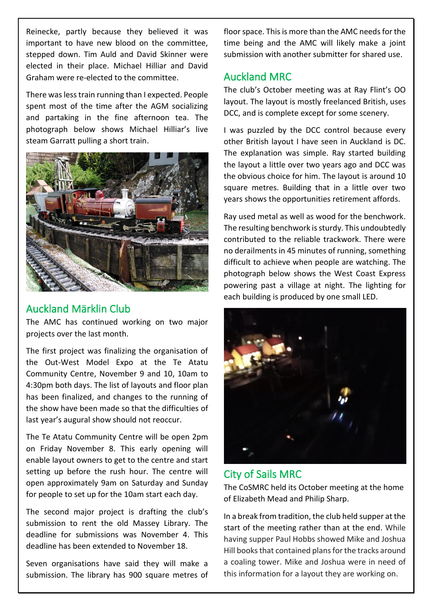Reinecke, partly because they believed it was important to have new blood on the committee, stepped down. Tim Auld and David Skinner were elected in their place. Michael Hilliar and David Graham were re-elected to the committee.

There was less train running than I expected. People spent most of the time after the AGM socializing and partaking in the fine afternoon tea. The photograph below shows Michael Hilliar's live steam Garratt pulling a short train.



## <span id="page-2-0"></span>Auckland Märklin Club

The AMC has continued working on two major projects over the last month.

The first project was finalizing the organisation of the Out-West Model Expo at the Te Atatu Community Centre, November 9 and 10, 10am to 4:30pm both days. The list of layouts and floor plan has been finalized, and changes to the running of the show have been made so that the difficulties of last year's augural show should not reoccur.

The Te Atatu Community Centre will be open 2pm on Friday November 8. This early opening will enable layout owners to get to the centre and start setting up before the rush hour. The centre will open approximately 9am on Saturday and Sunday for people to set up for the 10am start each day.

The second major project is drafting the club's submission to rent the old Massey Library. The deadline for submissions was November 4. This deadline has been extended to November 18.

Seven organisations have said they will make a submission. The library has 900 square metres of floor space. This is more than the AMC needs for the time being and the AMC will likely make a joint submission with another submitter for shared use.

### <span id="page-2-1"></span>Auckland MRC

The club's October meeting was at Ray Flint's OO layout. The layout is mostly freelanced British, uses DCC, and is complete except for some scenery.

I was puzzled by the DCC control because every other British layout I have seen in Auckland is DC. The explanation was simple. Ray started building the layout a little over two years ago and DCC was the obvious choice for him. The layout is around 10 square metres. Building that in a little over two years shows the opportunities retirement affords.

Ray used metal as well as wood for the benchwork. The resulting benchwork is sturdy. This undoubtedly contributed to the reliable trackwork. There were no derailments in 45 minutes of running, something difficult to achieve when people are watching. The photograph below shows the West Coast Express powering past a village at night. The lighting for each building is produced by one small LED.



# <span id="page-2-2"></span>City of Sails MRC

The CoSMRC held its October meeting at the home of Elizabeth Mead and Philip Sharp.

In a break from tradition, the club held supper at the start of the meeting rather than at the end. While having supper Paul Hobbs showed Mike and Joshua Hill books that contained plans for the tracks around a coaling tower. Mike and Joshua were in need of this information for a layout they are working on.